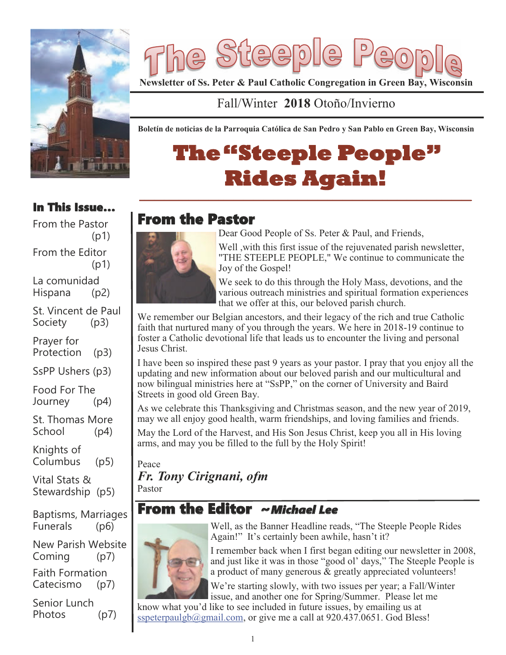

Silee  $\mathbf{D}$  $\bigoplus 0$  $\bigoplus$ 

**Newsletter of Ss. Peter & Paul Catholic Congregation in Green Bay, Wisconsin** 

## Fall/Winter **2018** Otoño/Invierno

**Boletín de noticias de la Parroquia Católica de San Pedro y San Pablo en Green Bay, Wisconsin**

# **The"Steeple People" Rides Again!**

**\_\_\_\_\_\_\_\_\_\_\_\_\_\_\_\_\_\_\_\_\_\_\_\_\_\_\_\_\_\_\_\_\_\_\_\_\_\_\_\_\_\_\_\_\_\_\_\_\_\_\_\_\_\_\_\_\_\_\_\_\_\_\_\_\_\_\_**

# From the Pastor



Dear Good People of Ss. Peter & Paul, and Friends,

Well ,with this first issue of the rejuvenated parish newsletter, "THE STEEPLE PEOPLE," We continue to communicate the Joy of the Gospel!

We seek to do this through the Holy Mass, devotions, and the various outreach ministries and spiritual formation experiences that we offer at this, our beloved parish church.

We remember our Belgian ancestors, and their legacy of the rich and true Catholic faith that nurtured many of you through the years. We here in 2018-19 continue to foster a Catholic devotional life that leads us to encounter the living and personal Jesus Christ.

I have been so inspired these past 9 years as your pastor. I pray that you enjoy all the updating and new information about our beloved parish and our multicultural and now bilingual ministries here at "SsPP," on the corner of University and Baird Streets in good old Green Bay.

As we celebrate this Thanksgiving and Christmas season, and the new year of 2019, may we all enjoy good health, warm friendships, and loving families and friends.

May the Lord of the Harvest, and His Son Jesus Christ, keep you all in His loving arms, and may you be filled to the full by the Holy Spirit!

Peace *Fr. Tony Cirignani, ofm* Pastor

# From the Editor ~*Michael Lee*



Well, as the Banner Headline reads, "The Steeple People Rides Again!" It's certainly been awhile, hasn't it?

I remember back when I first began editing our newsletter in 2008, and just like it was in those "good ol' days," The Steeple People is a product of many generous & greatly appreciated volunteers!

We're starting slowly, with two issues per year; a Fall/Winter issue, and another one for Spring/Summer. Please let me

know what you'd like to see included in future issues, by emailing us at sspeterpaulgb@gmail.com, or give me a call at 920.437.0651. God Bless!

#### In This Issue… From the Pastor

 $(p1)$ From the Editor (p1) La comunidad Hispana (p2) St. Vincent de Paul Society (p3)

Prayer for Protection (p3)

SsPP Ushers (p3)

Food For The Journey (p4)

St. Thomas More School (p4)

Knights of Columbus (p5)

Vital Stats & Stewardship (p5)

Baptisms, Marriages Funerals (p6)

New Parish Website Coming (p7)

Faith Formation Catecismo (p7)

Senior Lunch Photos (p7)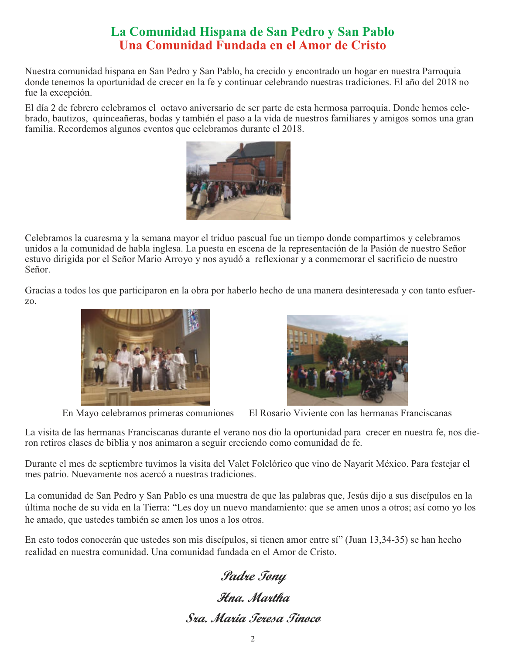### **La Comunidad Hispana de San Pedro y San Pablo Una Comunidad Fundada en el Amor de Cristo**

Nuestra comunidad hispana en San Pedro y San Pablo, ha crecido y encontrado un hogar en nuestra Parroquia donde tenemos la oportunidad de crecer en la fe y continuar celebrando nuestras tradiciones. El año del 2018 no fue la excepción.

El día 2 de febrero celebramos el octavo aniversario de ser parte de esta hermosa parroquia. Donde hemos celebrado, bautizos, quinceañeras, bodas y también el paso a la vida de nuestros familiares y amigos somos una gran familia. Recordemos algunos eventos que celebramos durante el 2018.



Celebramos la cuaresma y la semana mayor el triduo pascual fue un tiempo donde compartimos y celebramos unidos a la comunidad de habla inglesa. La puesta en escena de la representación de la Pasión de nuestro Señor estuvo dirigida por el Señor Mario Arroyo y nos ayudó a reflexionar y a conmemorar el sacrificio de nuestro Señor.

Gracias a todos los que participaron en la obra por haberlo hecho de una manera desinteresada y con tanto esfuerzo.





En Mayo celebramos primeras comuniones El Rosario Viviente con las hermanas Franciscanas

La visita de las hermanas Franciscanas durante el verano nos dio la oportunidad para crecer en nuestra fe, nos dieron retiros clases de biblia y nos animaron a seguir creciendo como comunidad de fe.

Durante el mes de septiembre tuvimos la visita del Valet Folclórico que vino de Nayarit México. Para festejar el mes patrio. Nuevamente nos acercó a nuestras tradiciones.

La comunidad de San Pedro y San Pablo es una muestra de que las palabras que, Jesús dijo a sus discípulos en la última noche de su vida en la Tierra: "Les doy un nuevo mandamiento: que se amen unos a otros; así como yo los he amado, que ustedes también se amen los unos a los otros.

En esto todos conocerán que ustedes son mis discípulos, si tienen amor entre sí" (Juan 13,34-35) se han hecho realidad en nuestra comunidad. Una comunidad fundada en el Amor de Cristo.

**Padre Tony Hna. Martha Sra. Maria Teresa Tinoco**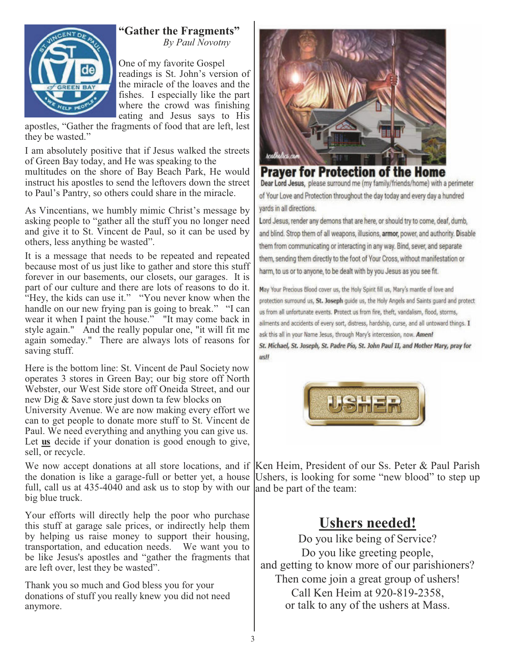

#### **"Gather the Fragments"***By Paul Novotny*

One of my favorite Gospel readings is St. John's version of the miracle of the loaves and the fishes. I especially like the part where the crowd was finishing eating and Jesus says to His

apostles, "Gather the fragments of food that are left, lest they be wasted."

I am absolutely positive that if Jesus walked the streets of Green Bay today, and He was speaking to the

multitudes on the shore of Bay Beach Park, He would instruct his apostles to send the leftovers down the street to Paul's Pantry, so others could share in the miracle.

As Vincentians, we humbly mimic Christ's message by asking people to "gather all the stuff you no longer need and give it to St. Vincent de Paul, so it can be used by others, less anything be wasted".

It is a message that needs to be repeated and repeated because most of us just like to gather and store this stuff forever in our basements, our closets, our garages. It is part of our culture and there are lots of reasons to do it. "Hey, the kids can use it." "You never know when the handle on our new frying pan is going to break." "I can wear it when I paint the house." "It may come back in style again." And the really popular one, "it will fit me again someday." There are always lots of reasons for saving stuff.

Here is the bottom line: St. Vincent de Paul Society now operates 3 stores in Green Bay; our big store off North Webster, our West Side store off Oneida Street, and our new Dig & Save store just down ta few blocks on University Avenue. We are now making every effort we can to get people to donate more stuff to St. Vincent de Paul. We need everything and anything you can give us. Let **us** decide if your donation is good enough to give, sell, or recycle.

We now accept donations at all store locations, and if the donation is like a garage-full or better yet, a house full, call us at 435-4040 and ask us to stop by with our big blue truck.

Your efforts will directly help the poor who purchase this stuff at garage sale prices, or indirectly help them by helping us raise money to support their housing, transportation, and education needs. We want you to be like Jesus's apostles and "gather the fragments that are left over, lest they be wasted".

Thank you so much and God bless you for your donations of stuff you really knew you did not need anymore.



#### **Praver for Protection of the Home** Dear Lord Jesus, please surround me (my family/friends/home) with a perimeter of Your Love and Protection throughout the day today and every day a hundred vards in all directions.

Lord Jesus, render any demons that are here, or should try to come, deaf, dumb, and blind. Strop them of all weapons, illusions, armor, power, and authority. Disable them from communicating or interacting in any way. Bind, sever, and separate them, sending them directly to the foot of Your Cross, without manifestation or harm, to us or to anyone, to be dealt with by you Jesus as you see fit.

May Your Precious Blood cover us, the Holy Spirit fill us, Mary's mantle of love and protection surround us, St. Joseph guide us, the Holy Angels and Saints guard and protect us from all unfortunate events. Protect us from fire, theft, vandalism, flood, storms, ailments and accidents of every sort, distress, hardship, curse, and all untoward things. I ask this all in your Name Jesus, through Mary's intercession, now. Amen! St. Michael, St. Joseph, St. Padre Pio, St. John Paul II, and Mother Mary, pray for us!!



Ken Heim, President of our Ss. Peter & Paul Parish Ushers, is looking for some "new blood" to step up and be part of the team:

# **Ushers needed!**

Do you like being of Service? Do you like greeting people, and getting to know more of our parishioners? Then come join a great group of ushers! Call Ken Heim at 920-819-2358, or talk to any of the ushers at Mass.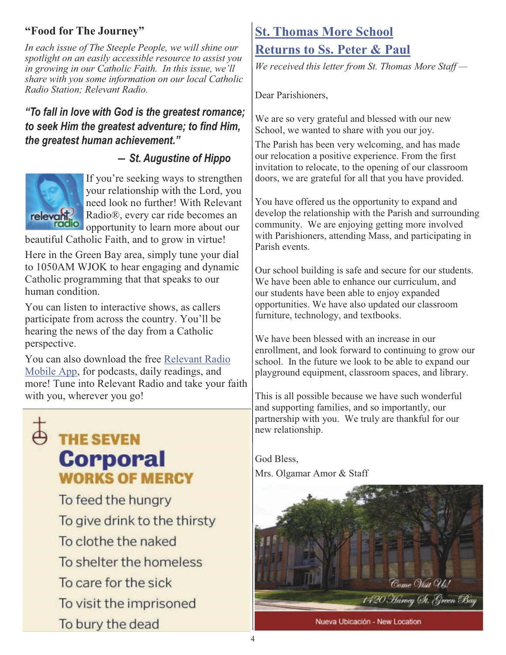#### **"Food for The Journey"**

*In each issue of The Steeple People, we will shine our spotlight on an easily accessible resource to assist you in growing in our Catholic Faith. In this issue, we'll share with you some information on our local Catholic Radio Station; Relevant Radio.*

#### *"To fall in love with God is the greatest romance; to seek Him the greatest adventure; to find Him, the greatest human achievement."*

#### *― St. Augustine of Hippo*



If you're seeking ways to strengthen your relationship with the Lord, you need look no further! With Relevant Radio®, every car ride becomes an opportunity to learn more about our

beautiful Catholic Faith, and to grow in virtue!

Here in the Green Bay area, simply tune your dial to 1050AM WJOK to hear engaging and dynamic Catholic programming that that speaks to our human condition.

You can listen to interactive shows, as callers participate from across the country. You'll be hearing the news of the day from a Catholic perspective.

You can also download the free Relevant Radio Mobile App, for podcasts, daily readings, and more! Tune into Relevant Radio and take your faith with you, wherever you go!

# $\stackrel{+}{\ominus}$  THE SEVEN **Corporal WORKS OF MERCY**

To feed the hungry To give drink to the thirsty To clothe the naked To shelter the homeless To care for the sick To visit the imprisoned To bury the dead

## **St. Thomas More School**

#### **Returns to Ss. Peter & Paul**

*We received this letter from St. Thomas More Staff —*

Dear Parishioners,

We are so very grateful and blessed with our new School, we wanted to share with you our joy.

The Parish has been very welcoming, and has made our relocation a positive experience. From the first invitation to relocate, to the opening of our classroom doors, we are grateful for all that you have provided.

You have offered us the opportunity to expand and develop the relationship with the Parish and surrounding community. We are enjoying getting more involved with Parishioners, attending Mass, and participating in Parish events.

Our school building is safe and secure for our students. We have been able to enhance our curriculum, and our students have been able to enjoy expanded opportunities. We have also updated our classroom furniture, technology, and textbooks.

We have been blessed with an increase in our enrollment, and look forward to continuing to grow our school. In the future we look to be able to expand our playground equipment, classroom spaces, and library.

This is all possible because we have such wonderful and supporting families, and so importantly, our partnership with you. We truly are thankful for our new relationship.

God Bless,

Mrs. Olgamar Amor & Staff



Nueva Ubicación - New Location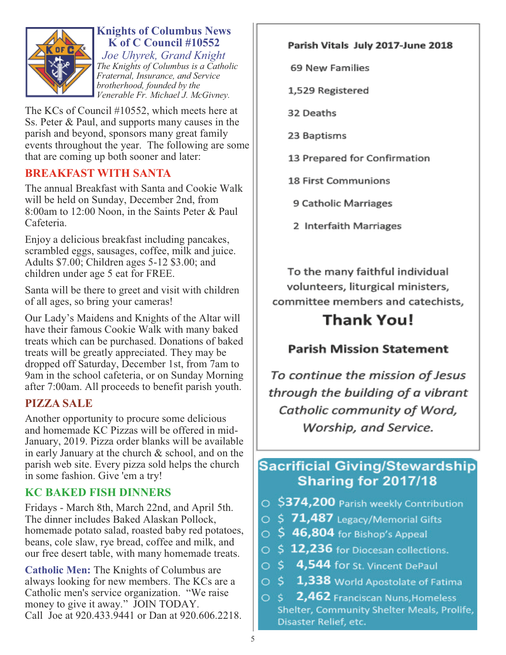

### **Knights of Columbus News K of C Council #10552**

 *Joe Uhyrek, Grand Knight The Knights of Columbus is a Catholic Fraternal, Insurance, and Service brotherhood, founded by the Venerable Fr. Michael J. McGivney.*

The KCs of Council #10552, which meets here at Ss. Peter & Paul, and supports many causes in the parish and beyond, sponsors many great family events throughout the year. The following are some that are coming up both sooner and later:

#### **BREAKFAST WITH SANTA**

The annual Breakfast with Santa and Cookie Walk will be held on Sunday, December 2nd, from 8:00am to 12:00 Noon, in the Saints Peter & Paul Cafeteria.

Enjoy a delicious breakfast including pancakes, scrambled eggs, sausages, coffee, milk and juice. Adults \$7.00; Children ages 5-12 \$3.00; and children under age 5 eat for FREE.

Santa will be there to greet and visit with children of all ages, so bring your cameras!

Our Lady's Maidens and Knights of the Altar will have their famous Cookie Walk with many baked treats which can be purchased. Donations of baked treats will be greatly appreciated. They may be dropped off Saturday, December 1st, from 7am to 9am in the school cafeteria, or on Sunday Morning after 7:00am. All proceeds to benefit parish youth.

#### **PIZZA SALE**

Another opportunity to procure some delicious and homemade KC Pizzas will be offered in mid-January, 2019. Pizza order blanks will be available in early January at the church & school, and on the parish web site. Every pizza sold helps the church in some fashion. Give 'em a try!

#### **KC BAKED FISH DINNERS**

Fridays - March 8th, March 22nd, and April 5th. The dinner includes Baked Alaskan Pollock, homemade potato salad, roasted baby red potatoes, beans, cole slaw, rye bread, coffee and milk, and our free desert table, with many homemade treats.

**Catholic Men:** The Knights of Columbus are always looking for new members. The KCs are a Catholic men's service organization. "We raise money to give it away." JOIN TODAY. Call Joe at 920.433.9441 or Dan at 920.606.2218.

#### Parish Vitals July 2017-June 2018

69 New Families

1,529 Registered

32 Deaths

23 Baptisms

13 Prepared for Confirmation

**18 First Communions** 

9 Catholic Marriages

2 Interfaith Marriages

To the many faithful individual volunteers, liturgical ministers, committee members and catechists,

# Thank You!

#### **Parish Mission Statement**

To continue the mission of Jesus through the building of a vibrant Catholic community of Word, Worship, and Service.

## **Sacrificial Giving/Stewardship** Sharing for 2017/18

- \$374,200 Parish weekly Contribution
- $\circ$  \$ 71,487 Legacy/Memorial Gifts
- $\circ$  \$46,804 for Bishop's Appeal
- $\circ$  \$ 12,236 for Diocesan collections.
- \$4,544 for St. Vincent DePaul  $\circ$
- S. 1,338 World Apostolate of Fatima  $\circ$
- 2,462 Franciscan Nuns, Homeless  $\circ$  s Shelter, Community Shelter Meals, Prolife, Disaster Relief, etc.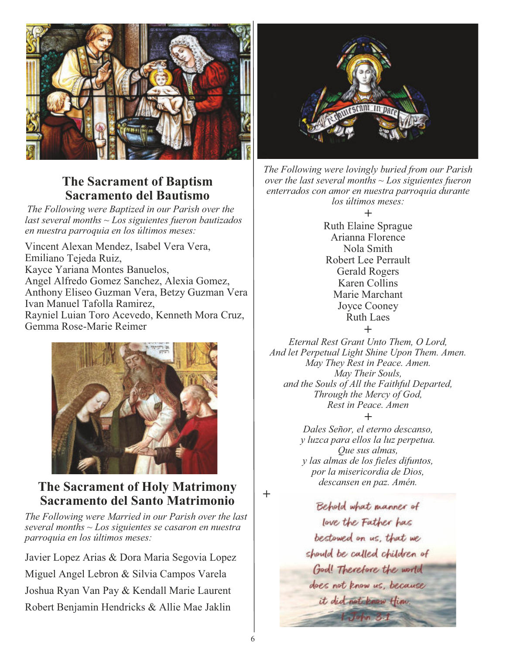

#### **The Sacrament of Baptism Sacramento del Bautismo**

*The Following were Baptized in our Parish over the last several months ~ Los siguientes fueron bautizados en nuestra parroquia en los últimos meses:*

Vincent Alexan Mendez, Isabel Vera Vera, Emiliano Tejeda Ruiz, Kayce Yariana Montes Banuelos, Angel Alfredo Gomez Sanchez, Alexia Gomez, Anthony Eliseo Guzman Vera, Betzy Guzman Vera Ivan Manuel Tafolla Ramirez, Rayniel Luian Toro Acevedo, Kenneth Mora Cruz, Gemma Rose-Marie Reimer



### **The Sacrament of Holy Matrimony Sacramento del Santo Matrimonio**

*The Following were Married in our Parish over the last several months ~ Los siguientes se casaron en nuestra parroquia en los últimos meses:*

Javier Lopez Arias & Dora Maria Segovia Lopez Miguel Angel Lebron & Silvia Campos Varela Joshua Ryan Van Pay & Kendall Marie Laurent Robert Benjamin Hendricks & Allie Mae Jaklin



*The Following were lovingly buried from our Parish over the last several months ~ Los siguientes fueron enterrados con amor en nuestra parroquia durante los últimos meses:*



Ruth Elaine Sprague Arianna Florence Nola Smith Robert Lee Perrault Gerald Rogers Karen Collins Marie Marchant Joyce Cooney Ruth Laes **+**

*Eternal Rest Grant Unto Them, O Lord, And let Perpetual Light Shine Upon Them. Amen. May They Rest in Peace. Amen. May Their Souls, and the Souls of All the Faithful Departed, Through the Mercy of God, Rest in Peace. Amen*

*+ Dales Señor, el eterno descanso, y luzca para ellos la luz perpetua. Que sus almas, y las almas de los fieles difuntos, por la misericordia de Dios, descansen en paz. Amén.* 

*+*

Behold what manner of love the Father has bestowed on us, that we should be called children of God! Therefore the world does not know us, because it did not know Him.  $J$  when  $3.1$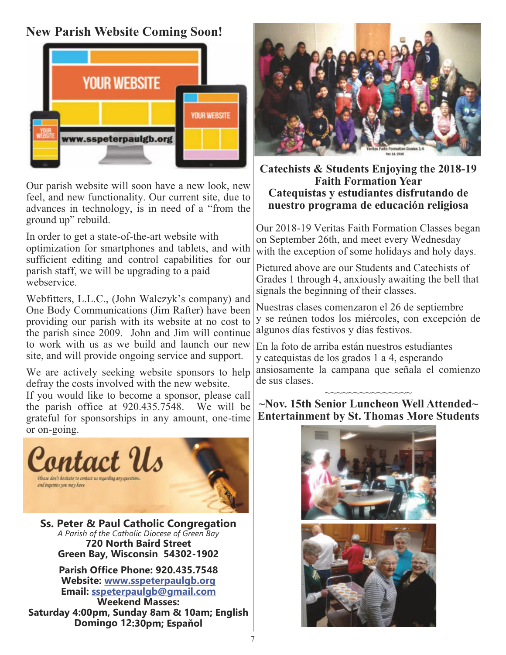## **New Parish Website Coming Soon!**



Our parish website will soon have a new look, new feel, and new functionality. Our current site, due to advances in technology, is in need of a "from the ground up" rebuild.

In order to get a state-of-the-art website with optimization for smartphones and tablets, and with sufficient editing and control capabilities for our parish staff, we will be upgrading to a paid webservice.

Webfitters, L.L.C., (John Walczyk's company) and One Body Communications (Jim Rafter) have been providing our parish with its website at no cost to the parish since 2009. John and Jim will continue to work with us as we build and launch our new site, and will provide ongoing service and support.

We are actively seeking website sponsors to help defray the costs involved with the new website.

If you would like to become a sponsor, please call the parish office at 920.435.7548. We will be grateful for sponsorships in any amount, one-time or on-going.



**Ss. Peter & Paul Catholic Congregation** *A Parish of the Catholic Diocese of Green Bay* **720 North Baird Street Green Bay, Wisconsin 54302-1902**

**Parish Office Phone: 920.435.7548 Website: www.sspeterpaulgb.org Email: sspeterpaulgb@gmail.com Weekend Masses:** 

**Saturday 4:00pm, Sunday 8am & 10am; English Domingo 12:30pm; Espaňol**



#### **Catechists & Students Enjoying the 2018-19 Faith Formation Year Catequistas y estudiantes disfrutando de nuestro programa de educación religiosa**

Our 2018-19 Veritas Faith Formation Classes began on September 26th, and meet every Wednesday with the exception of some holidays and holy days.

Pictured above are our Students and Catechists of Grades 1 through 4, anxiously awaiting the bell that signals the beginning of their classes.

Nuestras clases comenzaron el 26 de septiembre y se reúnen todos los miércoles, con excepción de algunos días festivos y días festivos.

En la foto de arriba están nuestros estudiantes y catequistas de los grados 1 a 4, esperando ansiosamente la campana que señala el comienzo de sus clases.

#### ~~~~~~~~~~~~ **~Nov. 15th Senior Luncheon Well Attended~ Entertainment by St. Thomas More Students**